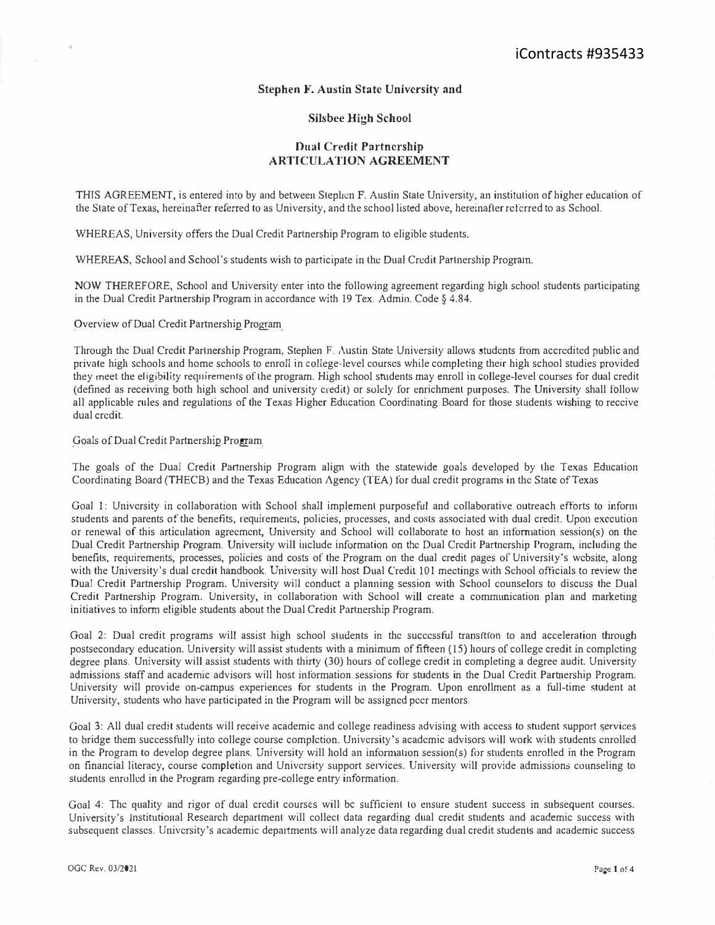## **Stephen F. Austin State University and**

## **Silsbee High School**

## **Dual Credit Partnership ARTICULATION AGREEMENT**

THIS AGREEMENT, is entered into by and between Stephen F. Austin State University, an institution of higher education of the State of Texas, hereinafter referred to as University, and the school listed above, hereinafter referred to as School.

WHEREAS, University offers the Dual Credit Partnership Program to eligible students.

WHEREAS, School and School's students wish to participate in the Dual Credit Partnership Program.

NOW THEREFORE, School and University enter into the following agreement regarding high school students participating in the Dual Credit Partnership Program in accordance with 19 Tex. Admin. Code§ 4.84.

Overview of Dual Credit Partnership Program

Through the Dual Credit Partnership Program, Stephen F. Austin State University allows students from accredited public and private high schools and home schools to enroll in college-level courses while completing their high school studies provided they meet the eligibility requirements of the program. High school students may enroll in college-level courses for dual credit (defined as receiving both high school and university credit) or solely for enrichment purposes. The University shall follow all applicable rules and regulations of the Texas Higher Education Coordinating Board for those students wishing to receive dual credit.

Goals of Dual Credit Partnership Program

The goals of the Dual Credit Partnership Program align with the statewide goals developed by the Texas Education Coordinating Board (THECB) and the Texas Education Agency (TEA) for dual credit programs in the State of Texas

Goal 1: University in collaboration with School shall implement purposeful and collaborative outreach efforts to inform students and parents of the benefits, requirements, policies, processes, and costs associated with dual credit. Upon execution or renewal of this articulation agreement, University and School will collaborate to host an information session(s) on the Dual Credit Partnership Program. University will include information on the Dual Credit Partnership Program, including the benefits, requirements, processes, policies and costs of the Program on the dual credit pages of University's website, along with the University's dual credit handbook. University will host Dual Credit 101 meetings with School officials to review the Dual Credit Partnership Program. University will conduct a planning session with School counselors to discuss the Dual Credit Partnership Program. University, in collaboration with School *will* create a communication plan and marketing initiatives to inform eligible students about the Dual Credit Partnership Program.

Goal 2: Dual credit programs will assist high school students in the successful transition to and acceleration through postsecondary education. University will assist students with a minimum of fifteen (15) hours of college credit in completing degree plans. University will assist students with thirty (30) hours of college credit in completing a degree audit. University admissions staff and academic advisors will host information sessions for students in the Dual Credit Partnership Program. University will provide on-campus experiences for students in the Program. Upon enrollment as a full-time student at University, students who have participated in the Program will be assigned peer mentors.

Goal 3: All dual credit students will receive academic and college readiness advising with access to student support services to bridge them successfully into college course completion. University's academic advisors will work with students enrolled in the Program to develop degree plans. University will hold an information session(s) for students enrolled in the Program on financial literacy, course completion and University support services. University will provide admissions counseling to students enrolled in the Program regarding pre-college entry information.

Goal 4: The quality and rigor of dual credit courses will be sufficient to ensure student success in subsequent courses. University's Institutional Research department will collect data regarding dual credit students and academic success with subsequent classes. University's academic departments will analyze data regarding dual credit students and academic success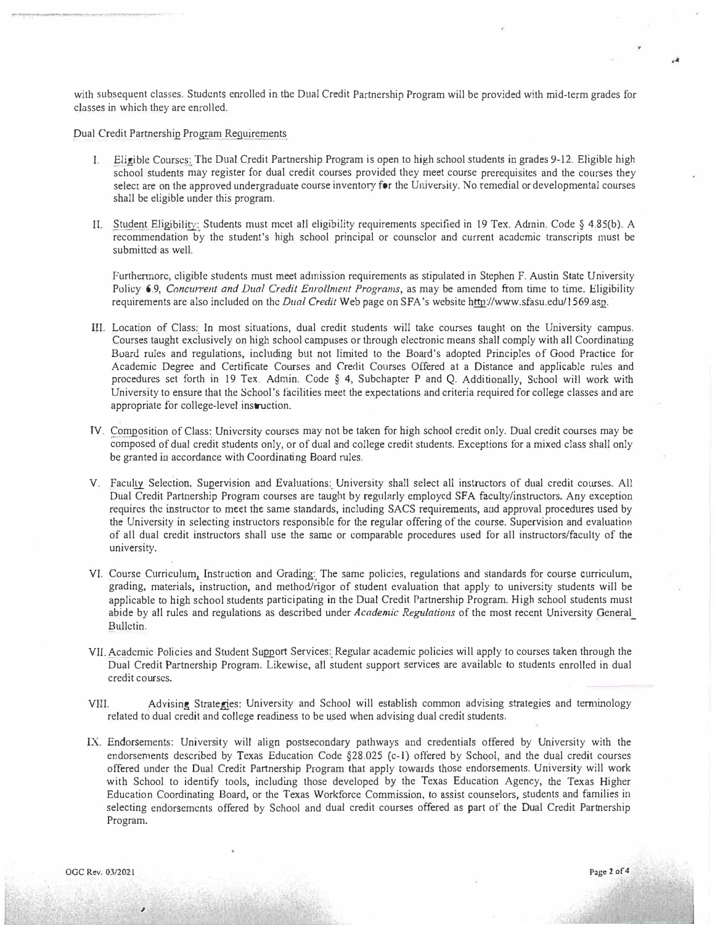with subsequent classes. S*t*udents enrolled in the Dual Credit Partnersh*i*p Program will be provided with m*i*d-term grades for classes in which they are enrolled.

Dual Cred*i*t Partnership Program Requirements

- I. Elig*i*ble Courses: The Dual Cred*i*t Partnersh*i*p Program is open to high school students in grades 9-12. Eligible high school st**u**dents may register for dual credit courses provided they meet course prerequ*i*sites and the courses they select are on the approved undergraduate course inventory for the University. No remedial or developmental courses shall be eligible under this program.
- IT. Student Elig*i*b*i*lity: S*t*udents must meet all eligib*i*lity requ*i*rements spec*i*fied in 19 **T**ex. Adrnin. Code § 4.85(b). A recommendation by the s*t*udent's high school principal or counselor and current academic transcripts must be submitted as well.

Furthermore, cligible students must meet admission requirements as stipulated in Stephen F. Austin State University Policy 6.9, *Concurrent and Dual Credit Enrollment Programs*, as may be amended from time to time. Eligibility requirements are also included on the *Dual Credit* Web page on SFA's website http://www.sfasu.edu/1569.asp.

- III. Location of Class: In most situations, dual credit students will take courses taught on the University campus. Courses taught exclusively on h*i*gh school campuses or through electronic means shall comply with all Coordinating Buan1 r**u**les and regulations, includ*i*ng but not lim*i*ted to the Board's adopted Principles of Good Practice for Academic Degree and Certificate Courses and Credit Courses Offered at a Distance and applicable rules and procedures set forth in 19 Tex. Admin. Code § 4, Subchapter P and Q. Additionally, School will work with Un*i*versity to ensure that the School's fac*i*lities meet the expectations and criteria requ*i*red for college classes and are appropriate for college-level instruction.
- IV. Compos*i*tion of Class: Universi*t*y courses may not be taken for high school credit only. Dual credit co**u**rses may be composed of dual credit students only, or of dual and college cred*i*t students. Exceptions for a mixed class shall only be granted in accordance with Coordinat*i*ng Board rules.
- V. Faculty Selection, Superv*i*sion and Evaluations: *U*n*i*versity shall select all *i*nstructors of dual credit courses. All Dual Credit Partnership Program courses are taught by regularly employed SF A facul*t*y/instr**u**ctors. Any exception requires the instructor to meet the same standards, including SACS requirements, and approval procedures used by the University in selecting instrnctors responsible for the regular offering of the course. Supe*r*vis*i*on and evaluation of all dual credit instructors shall use the same or comparable procedures used for all instructors/faculty of the university.
- VI. Course Curr*i*culum, Instruct*i*on and Grading: **T**he same pol*i*cies, regulations and s**t**andards for course curric**u**lum, grading, mater*i*als, instruct*i*on, and method/rigor of student evaluation that apply to universi*<sup>t</sup>*y s*t*udents will be applicable to high school students part*i*c*i*pating in the Dual Cred*i*t Partnership Program. High school students must ab*i*de by all r**u**les and regulat*i*ons as described under *Academic Regulations* of the most recent University General Bulletin.
- VIL Academic Pol*i*cies and Student Support Services: Regular academic policies w*i*ll apply to courses taken through the Dual Credit Partnership Program. Likew*i*se, all student support serv*i*ces are available to students enrolled *i*n dual credit cou*r*ses.
- VIII. Advising Strategies: *U*niversi*t*y and School will establish common advising strategies and temunology related to dual credit and college readiness to be used when advising dual credit students.
- IX. Endorsements: Univers*i*ty will al*i*gn postsecondary pathways and credentials offered by *U*nivers*i*ty with the endorsements described by Texas Education Code §28.025 (c-1) offered by School, and the dual credit courses offered under the Dual Credit Partnersh*i*p Program that apply towards those endorsements. *U*niversity will work <sup>w</sup>*i*th School to ident*i*fy tools, including those developed by the Texas Education Agency, the **<sup>T</sup>**exas H*i*gher Educat*i*on Coordinating Board, or the Texas *W*orkforce Commissio*<sup>n</sup>*, to assist counselors, s*t*udents and families in selecting endorsements offered by School and dual credit courses offered as par*t* of the Dual Credit Par*t*nership Program.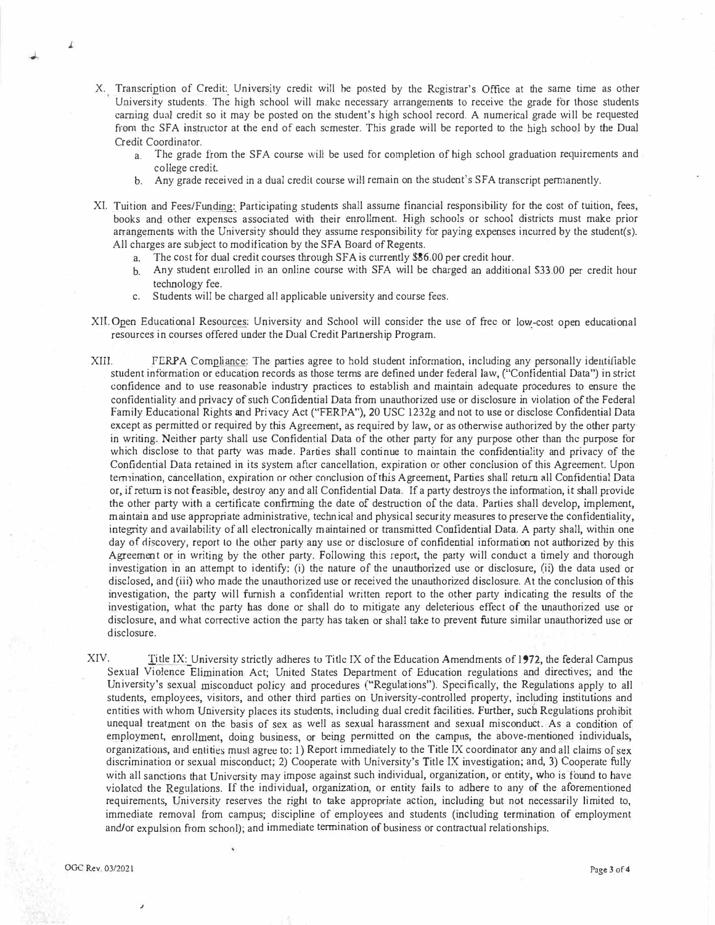- X. Transcription of Credit: University credit will be posted by the Registrar's Office at the same time as other University students. The high school will make necessary arrangements to receive the grade for those students carning dual credit so it may be posted on the student's high school record. A numerical grade will be requested from the SFA instructor at the end of each semester. This grade will be reported to the high school by the Dual C*r*e*d*it Coo*rdin*ato*r*.
	- a. The grade from the SFA course will be used for completion of high school graduation requirements and col*l*ege c*r*e*d*it*.*
	- b. Any grade received in a dual credit course will remain on the student's SFA transcript permanently.
- XI. Tuition and Fees/Funding: Participating students shall assume financial responsibility for the cost of tuition, fees, books and other expenses associated with their enrollment. High schools or school districts must make prior arrangements with the University should they assume responsibility for paying expenses incurred by the student(s). All c*h*a*r*ges a*r*e subject to mo*di*ficat*i*o*n* by *th*e SFA Boa*rd* of Rege*nt*s.
	- a. T*h*e cos*t f*o·*r d*u*a*l c*r*e*di*t cou*r*ses t*h*roug*h* SFA *i*s cu*rr*e*n*tly \$86.00 per c*r*e*di*t *h*our.
	- b. Any student eurolled in an online course with SFA will be charged an additional \$33.00 per credit hour tec*h*nology fee.
	- c. S*t*u*d*e*nt*s w*i*ll be ch*ar*ge*d a*ll appl**i**cable unive*r*sity a*nd* cou*r*se *f*e*e*s.
- XII. Open Educational Resources: University and School will consider the use of free or low-cost open educational *r*esources *in* cou*r*ses o*f*fe*r*e*d* un*d*e*r* t*h*e Du*a*l *Cr*e*dit* Pa*r*tne*r*s*hi*p P*r*og*ra*m*.*
- XIII. FERPA Compliance: The parties agree to hold student information, including any personally identifiable student information or education records as those terms are defined under federal law, ("Confidential Data") in strict confidence and to use reasonable industry practices to establish and maintain adequate procedures to ensure the confidentiality and privacy of such Confidential Data from unauthorized use or disclosure in violation of the Federal Family Educational Rights and Privacy Act ("FERPA"), 20 USC 1232g and not to use or disclose Confidential Data except as permitted or required by this Agreement, as required by law, or as otherwise authorized by the other party in writing. Neither party shall use Confidential Data of the other party for any purpose other than the purpose for which disclose to that party was made. Parties shall continue to maintain the confidentiality and privacy of the Confidential Data retained in its system after cancellation, expiration or other conclusion of this Agreement. Upon termination, cancellation, expiration or other conclusion of this Agreement, Parties shall return all Confidential Data or, if return is not feasible, destroy any and all Confidential Data. If a party destroys the information, it shall provide the other party with a certificate confirming the date of destruction of the data. Parties shall develop, implement, maintain and use appropriate administrative, technical and physical security measures to preserve the confidentiality, integrity and availability of all electronically maintained or transmitted Confidential Data. A party shall, within one day of discovery, report to the other party any use or disclosure of confidential information not authorized by this Agreement or in writing by the other party. Following this report, the party will conduct a timely and thorough investigation in an attempt to identify: (i) the nature of the unauthorized use or disclosure, (ii) the data used or disclosed, and (iii) who made the unauthorized use or received the unauthorized disclosure. At the conclusion of this investigation, the party will furnish a confidential written report to the other party indicating the results of the investigation, what the party has done or shall do to mitigate any deleterious effect of the unauthorized use or disclosure, and what corrective action the party has taken or shall take to prevent future similar unauthorized use or *di*sclosu*r*e.
- XIV. Title IX: University strictly adheres to Title IX of the Education Amendments of 1972, the federal Campus Sexual Violence Elimination Act; United States Department of Education regulations and directives; and the U*ni*ve*r*si*t*y's sexu*a*l m*i*scon*d*uct policy an*d* p*r*oce*d*u*r*es ("Regula*ti*o*n*s"). Spec*i*fically, t*h*e Regulat*i*o*n*s apply to all students, employees, visitors, and other third parties on University-controlled property, including institutions and entities with whom University places its students, including dual credit facilities. Further, such Regulations prohibit unequal treatment on the basis of sex as well as sexual harassment and sexual misconduct. As a condition of employme*nt*, enrollme*n*t, *d*o*i*ng b*u*s*i*ness, or be*i*ng perm*it*te*d* on the campus, the *a*bove-mentione*d* in*di*v**i***du*als, organizations, and entities must agree to:  $1$ ) Report immediately to the Title IX coordinator any and all claims of sex discrimination or sexual misconduct; 2) Cooperate with University's Title IX investigation; and, 3) Cooperate fully with all sanctions that University may impose against such individual, organization, or entity, who is found to have violated the Regulations. If the individual, organization, or entity fails to adhere to any of the aforementioned requirements, University reserves the right to take appropriate action, including but not necessarily limited to, immediate removal from campus; discipline of employees and students (including termination of employment and/or expulsion from school); and immediate termination of business or contractual relationships.

*J.*